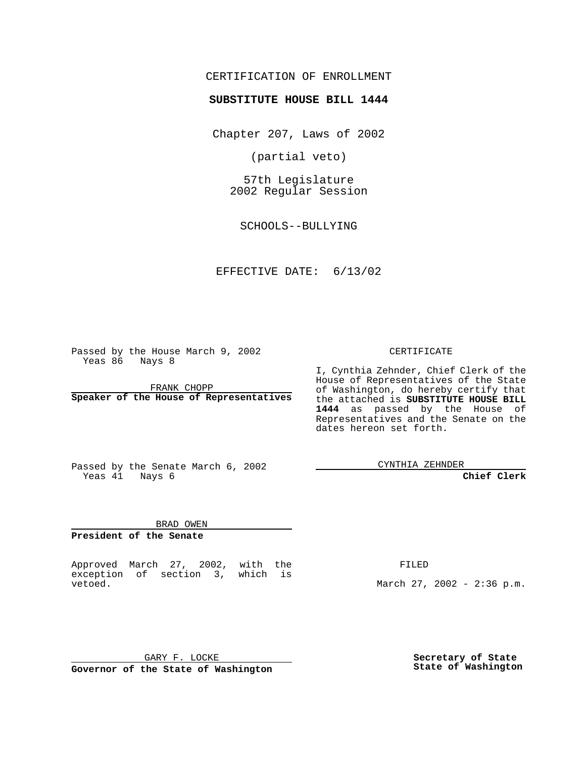### CERTIFICATION OF ENROLLMENT

# **SUBSTITUTE HOUSE BILL 1444**

Chapter 207, Laws of 2002

(partial veto)

57th Legislature 2002 Regular Session

SCHOOLS--BULLYING

#### EFFECTIVE DATE: 6/13/02

Passed by the House March 9, 2002 Yeas 86 Nays 8

FRANK CHOPP **Speaker of the House of Representatives** CERTIFICATE

I, Cynthia Zehnder, Chief Clerk of the House of Representatives of the State of Washington, do hereby certify that the attached is **SUBSTITUTE HOUSE BILL 1444** as passed by the House of Representatives and the Senate on the dates hereon set forth.

Passed by the Senate March 6, 2002 Yeas 41 Nays 6

CYNTHIA ZEHNDER

**Chief Clerk**

BRAD OWEN **President of the Senate**

Approved March 27, 2002, with the exception of section 3, which is vetoed.

FILED

March 27, 2002 - 2:36 p.m.

GARY F. LOCKE

**Governor of the State of Washington**

**Secretary of State State of Washington**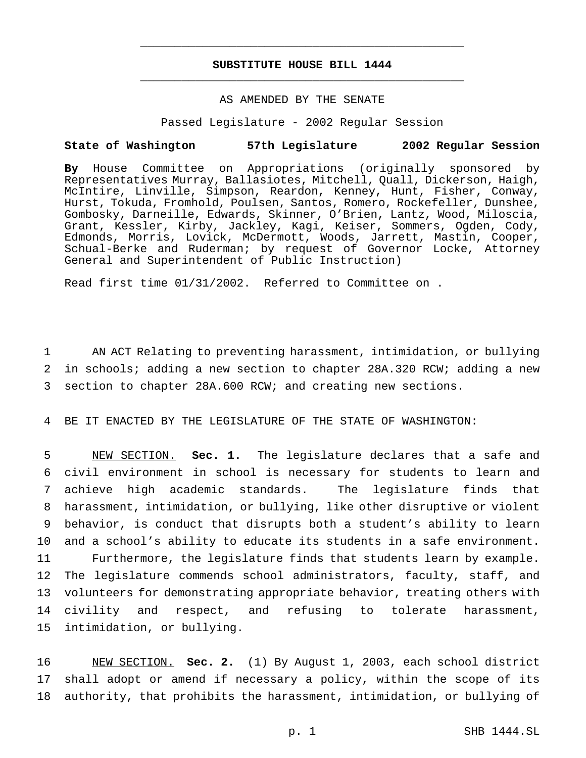## **SUBSTITUTE HOUSE BILL 1444** \_\_\_\_\_\_\_\_\_\_\_\_\_\_\_\_\_\_\_\_\_\_\_\_\_\_\_\_\_\_\_\_\_\_\_\_\_\_\_\_\_\_\_\_\_\_\_

\_\_\_\_\_\_\_\_\_\_\_\_\_\_\_\_\_\_\_\_\_\_\_\_\_\_\_\_\_\_\_\_\_\_\_\_\_\_\_\_\_\_\_\_\_\_\_

### AS AMENDED BY THE SENATE

Passed Legislature - 2002 Regular Session

#### **State of Washington 57th Legislature 2002 Regular Session**

**By** House Committee on Appropriations (originally sponsored by Representatives Murray, Ballasiotes, Mitchell, Quall, Dickerson, Haigh, McIntire, Linville, Simpson, Reardon, Kenney, Hunt, Fisher, Conway, Hurst, Tokuda, Fromhold, Poulsen, Santos, Romero, Rockefeller, Dunshee, Gombosky, Darneille, Edwards, Skinner, O'Brien, Lantz, Wood, Miloscia, Grant, Kessler, Kirby, Jackley, Kagi, Keiser, Sommers, Ogden, Cody, Edmonds, Morris, Lovick, McDermott, Woods, Jarrett, Mastin, Cooper, Schual-Berke and Ruderman; by request of Governor Locke, Attorney General and Superintendent of Public Instruction)

Read first time 01/31/2002. Referred to Committee on .

1 AN ACT Relating to preventing harassment, intimidation, or bullying 2 in schools; adding a new section to chapter 28A.320 RCW; adding a new 3 section to chapter 28A.600 RCW; and creating new sections.

4 BE IT ENACTED BY THE LEGISLATURE OF THE STATE OF WASHINGTON:

 NEW SECTION. **Sec. 1.** The legislature declares that a safe and civil environment in school is necessary for students to learn and achieve high academic standards. The legislature finds that harassment, intimidation, or bullying, like other disruptive or violent behavior, is conduct that disrupts both a student's ability to learn and a school's ability to educate its students in a safe environment. Furthermore, the legislature finds that students learn by example. The legislature commends school administrators, faculty, staff, and volunteers for demonstrating appropriate behavior, treating others with civility and respect, and refusing to tolerate harassment, intimidation, or bullying.

16 NEW SECTION. **Sec. 2.** (1) By August 1, 2003, each school district 17 shall adopt or amend if necessary a policy, within the scope of its 18 authority, that prohibits the harassment, intimidation, or bullying of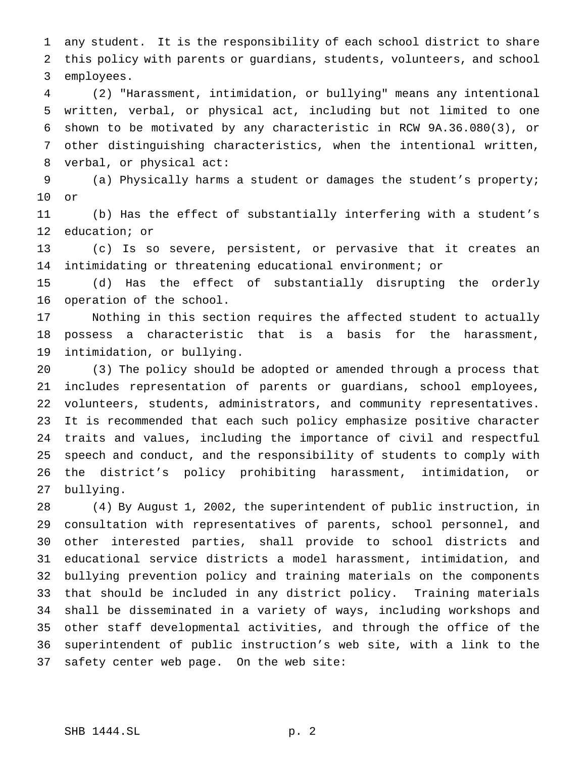any student. It is the responsibility of each school district to share this policy with parents or guardians, students, volunteers, and school employees.

 (2) "Harassment, intimidation, or bullying" means any intentional written, verbal, or physical act, including but not limited to one shown to be motivated by any characteristic in RCW 9A.36.080(3), or other distinguishing characteristics, when the intentional written, verbal, or physical act:

 (a) Physically harms a student or damages the student's property; or

 (b) Has the effect of substantially interfering with a student's education; or

 (c) Is so severe, persistent, or pervasive that it creates an intimidating or threatening educational environment; or

 (d) Has the effect of substantially disrupting the orderly operation of the school.

 Nothing in this section requires the affected student to actually possess a characteristic that is a basis for the harassment, intimidation, or bullying.

 (3) The policy should be adopted or amended through a process that includes representation of parents or guardians, school employees, volunteers, students, administrators, and community representatives. It is recommended that each such policy emphasize positive character traits and values, including the importance of civil and respectful speech and conduct, and the responsibility of students to comply with the district's policy prohibiting harassment, intimidation, or bullying.

 (4) By August 1, 2002, the superintendent of public instruction, in consultation with representatives of parents, school personnel, and other interested parties, shall provide to school districts and educational service districts a model harassment, intimidation, and bullying prevention policy and training materials on the components that should be included in any district policy. Training materials shall be disseminated in a variety of ways, including workshops and other staff developmental activities, and through the office of the superintendent of public instruction's web site, with a link to the safety center web page. On the web site: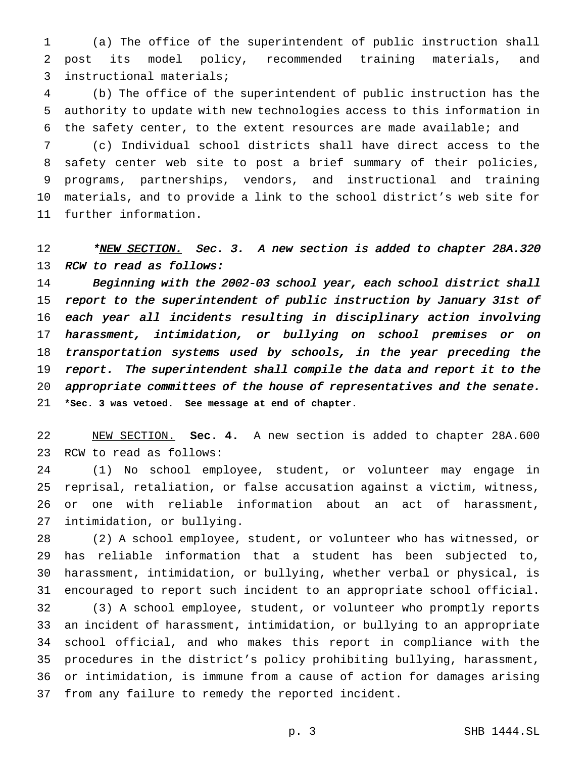(a) The office of the superintendent of public instruction shall post its model policy, recommended training materials, and instructional materials;

 (b) The office of the superintendent of public instruction has the authority to update with new technologies access to this information in the safety center, to the extent resources are made available; and

 (c) Individual school districts shall have direct access to the safety center web site to post a brief summary of their policies, programs, partnerships, vendors, and instructional and training materials, and to provide a link to the school district's web site for further information.

12 \*NEW SECTION. Sec. 3. A new section is added to chapter 28A.320 13 RCW to read as follows:

 Beginning with the 2002-03 school year, each school district shall report to the superintendent of public instruction by January 31st of each year all incidents resulting in disciplinary action involving harassment, intimidation, or bullying on school premises or on transportation systems used by schools, in the year preceding the report. The superintendent shall compile the data and report it to the appropriate committees of the house of representatives and the senate. **\*Sec. 3 was vetoed. See message at end of chapter.**

 NEW SECTION. **Sec. 4.** A new section is added to chapter 28A.600 RCW to read as follows:

 (1) No school employee, student, or volunteer may engage in reprisal, retaliation, or false accusation against a victim, witness, or one with reliable information about an act of harassment, intimidation, or bullying.

 (2) A school employee, student, or volunteer who has witnessed, or has reliable information that a student has been subjected to, harassment, intimidation, or bullying, whether verbal or physical, is encouraged to report such incident to an appropriate school official.

 (3) A school employee, student, or volunteer who promptly reports an incident of harassment, intimidation, or bullying to an appropriate school official, and who makes this report in compliance with the procedures in the district's policy prohibiting bullying, harassment, or intimidation, is immune from a cause of action for damages arising from any failure to remedy the reported incident.